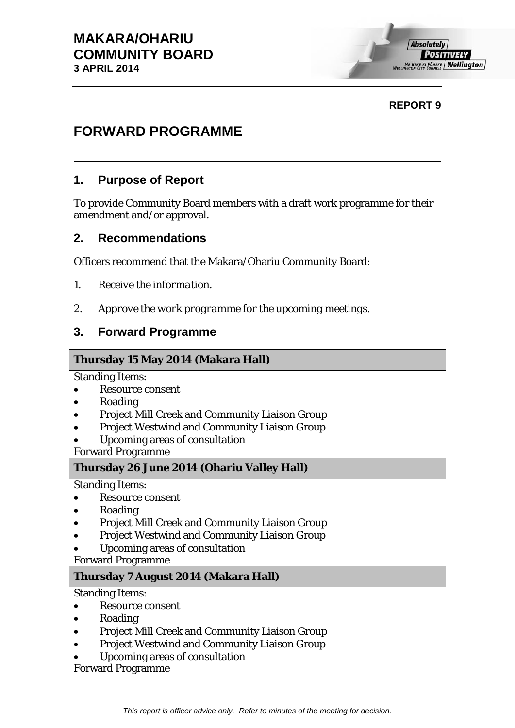# **REPORT 9**

# **FORWARD PROGRAMME**

# **1. Purpose of Report**

To provide Community Board members with a draft work programme for their amendment and/or approval.

# **2. Recommendations**

Officers recommend that the Makara/Ohariu Community Board:

- *1. Receive the information.*
- *2. Approve the work programme for the upcoming meetings.*

# **3. Forward Programme**

## **Thursday 15 May 2014 (Makara Hall)**

Standing Items:

- Resource consent
- Roading
- Project Mill Creek and Community Liaison Group
- Project Westwind and Community Liaison Group
- Upcoming areas of consultation

Forward Programme

## **Thursday 26 June 2014 (Ohariu Valley Hall)**

Standing Items:

- Resource consent
- Roading
- Project Mill Creek and Community Liaison Group
- Project Westwind and Community Liaison Group
- Upcoming areas of consultation

Forward Programme

## **Thursday 7 August 2014 (Makara Hall)**

Standing Items:

- Resource consent
- Roading
- Project Mill Creek and Community Liaison Group
- Project Westwind and Community Liaison Group
- Upcoming areas of consultation

Forward Programme